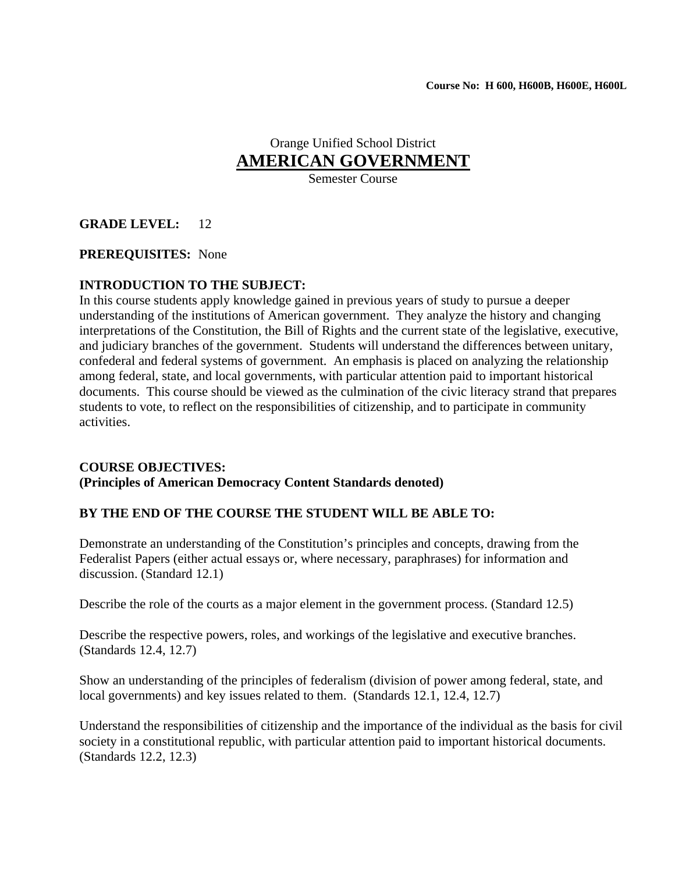# Orange Unified School District **AMERICAN GOVERNMENT**

Semester Course

# **GRADE LEVEL:** 12

### **PREREQUISITES:** None

# **INTRODUCTION TO THE SUBJECT:**

In this course students apply knowledge gained in previous years of study to pursue a deeper understanding of the institutions of American government. They analyze the history and changing interpretations of the Constitution, the Bill of Rights and the current state of the legislative, executive, and judiciary branches of the government. Students will understand the differences between unitary, confederal and federal systems of government. An emphasis is placed on analyzing the relationship among federal, state, and local governments, with particular attention paid to important historical documents. This course should be viewed as the culmination of the civic literacy strand that prepares students to vote, to reflect on the responsibilities of citizenship, and to participate in community activities.

#### **COURSE OBJECTIVES: (Principles of American Democracy Content Standards denoted)**

# **BY THE END OF THE COURSE THE STUDENT WILL BE ABLE TO:**

Demonstrate an understanding of the Constitution's principles and concepts, drawing from the Federalist Papers (either actual essays or, where necessary, paraphrases) for information and discussion. (Standard 12.1)

Describe the role of the courts as a major element in the government process. (Standard 12.5)

Describe the respective powers, roles, and workings of the legislative and executive branches. (Standards 12.4, 12.7)

Show an understanding of the principles of federalism (division of power among federal, state, and local governments) and key issues related to them. (Standards 12.1, 12.4, 12.7)

Understand the responsibilities of citizenship and the importance of the individual as the basis for civil society in a constitutional republic, with particular attention paid to important historical documents. (Standards 12.2, 12.3)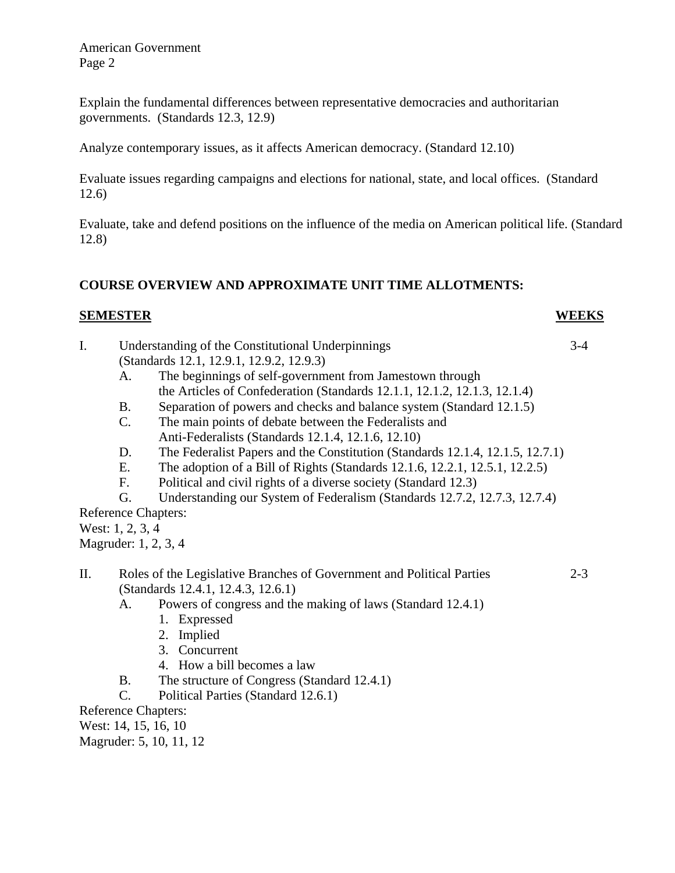Explain the fundamental differences between representative democracies and authoritarian governments. (Standards 12.3, 12.9)

Analyze contemporary issues, as it affects American democracy. (Standard 12.10)

Evaluate issues regarding campaigns and elections for national, state, and local offices. (Standard 12.6)

Evaluate, take and defend positions on the influence of the media on American political life. (Standard 12.8)

# **COURSE OVERVIEW AND APPROXIMATE UNIT TIME ALLOTMENTS:**

#### **SEMESTER WEEKS**

- I. Understanding of the Constitutional Underpinnings 3-4 (Standards 12.1, 12.9.1, 12.9.2, 12.9.3) A. The beginnings of self-government from Jamestown through the Articles of Confederation (Standards 12.1.1, 12.1.2, 12.1.3, 12.1.4)
	- B. Separation of powers and checks and balance system (Standard 12.1.5)
	- C. The main points of debate between the Federalists and Anti-Federalists (Standards 12.1.4, 12.1.6, 12.10)
	- D. The Federalist Papers and the Constitution (Standards 12.1.4, 12.1.5, 12.7.1)
	- E. The adoption of a Bill of Rights (Standards 12.1.6, 12.2.1, 12.5.1, 12.2.5)
	- F. Political and civil rights of a diverse society (Standard 12.3)
	- G. Understanding our System of Federalism (Standards 12.7.2, 12.7.3, 12.7.4)

Reference Chapters:

West: 1, 2, 3, 4

Magruder: 1, 2, 3, 4

- II. Roles of the Legislative Branches of Government and Political Parties 2-3 (Standards 12.4.1, 12.4.3, 12.6.1)
	- A. Powers of congress and the making of laws (Standard 12.4.1)
		- 1. Expressed
		- 2. Implied
		- 3. Concurrent
		- 4. How a bill becomes a law
	- B. The structure of Congress (Standard 12.4.1)
	- C. Political Parties (Standard 12.6.1)

Reference Chapters:

West: 14, 15, 16, 10

Magruder: 5, 10, 11, 12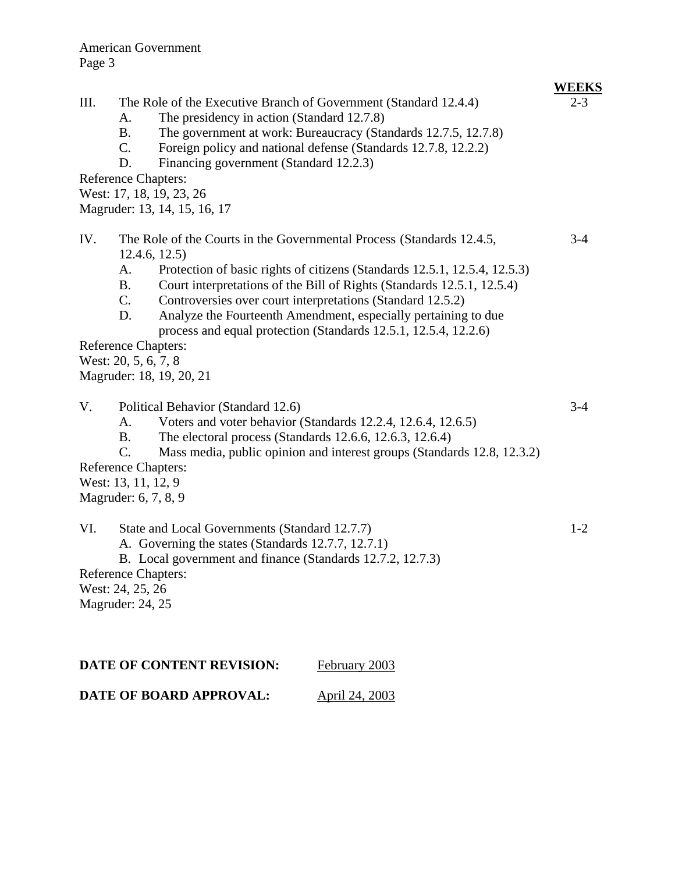# **WEEKS**

- III. The Role of the Executive Branch of Government (Standard 12.4.4) 2-3 A. The presidency in action (Standard 12.7.8)
	- B. The government at work: Bureaucracy (Standards 12.7.5, 12.7.8)
	- C. Foreign policy and national defense (Standards 12.7.8, 12.2.2)
	- D. Financing government (Standard 12.2.3)

Reference Chapters:

West: 17, 18, 19, 23, 26

Magruder: 13, 14, 15, 16, 17

- IV. The Role of the Courts in the Governmental Process (Standards 12.4.5, 3-4 12.4.6, 12.5)
	- A. Protection of basic rights of citizens (Standards 12.5.1, 12.5.4, 12.5.3)
	- B. Court interpretations of the Bill of Rights (Standards 12.5.1, 12.5.4)
	- C. Controversies over court interpretations (Standard 12.5.2)
	- D. Analyze the Fourteenth Amendment, especially pertaining to due process and equal protection (Standards 12.5.1, 12.5.4, 12.2.6)

Reference Chapters:

West: 20, 5, 6, 7, 8

Magruder: 18, 19, 20, 21

- V. Political Behavior (Standard 12.6) 3-4
	- A. Voters and voter behavior (Standards 12.2.4, 12.6.4, 12.6.5)
	- B. The electoral process (Standards 12.6.6, 12.6.3, 12.6.4)
	- C. Mass media, public opinion and interest groups (Standards 12.8, 12.3.2)

Reference Chapters:

West: 13, 11, 12, 9

Magruder: 6, 7, 8, 9

# VI. State and Local Governments (Standard 12.7.7) 1-2

- A. Governing the states (Standards 12.7.7, 12.7.1)
- B. Local government and finance (Standards 12.7.2, 12.7.3)

Reference Chapters:

West: 24, 25, 26

Magruder: 24, 25

| DATE OF CONTENT REVISION: | February 2003 |
|---------------------------|---------------|
|                           |               |

**DATE OF BOARD APPROVAL:** April 24, 2003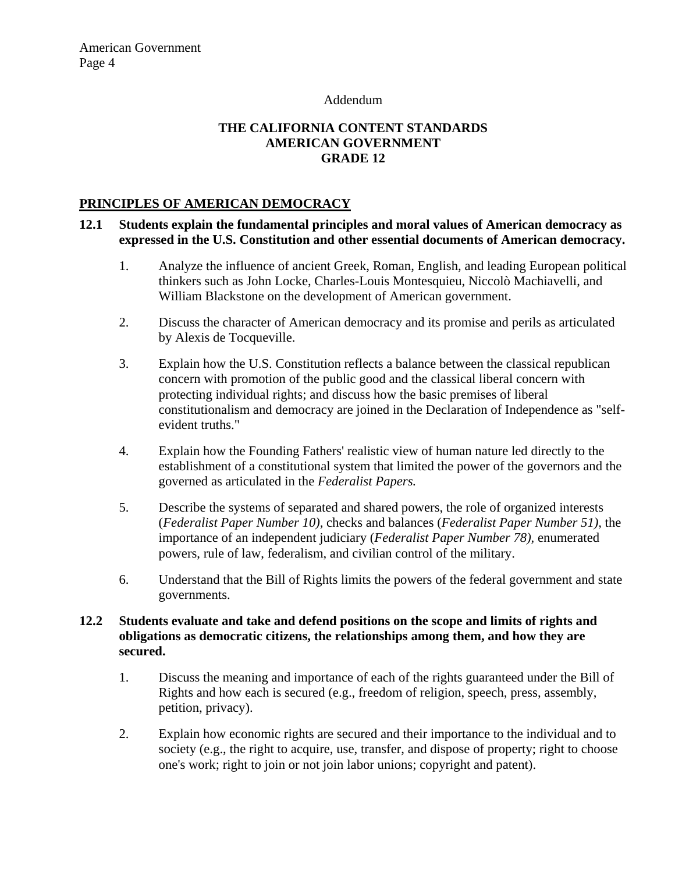#### Addendum

# **THE CALIFORNIA CONTENT STANDARDS AMERICAN GOVERNMENT GRADE 12**

### **PRINCIPLES OF AMERICAN DEMOCRACY**

#### **12.1 Students explain the fundamental principles and moral values of American democracy as expressed in the U.S. Constitution and other essential documents of American democracy.**

- 1. Analyze the influence of ancient Greek, Roman, English, and leading European political thinkers such as John Locke, Charles-Louis Montesquieu, Niccolò Machiavelli, and William Blackstone on the development of American government.
- 2. Discuss the character of American democracy and its promise and perils as articulated by Alexis de Tocqueville.
- 3. Explain how the U.S. Constitution reflects a balance between the classical republican concern with promotion of the public good and the classical liberal concern with protecting individual rights; and discuss how the basic premises of liberal constitutionalism and democracy are joined in the Declaration of Independence as "selfevident truths."
- 4. Explain how the Founding Fathers' realistic view of human nature led directly to the establishment of a constitutional system that limited the power of the governors and the governed as articulated in the *Federalist Papers.*
- 5. Describe the systems of separated and shared powers, the role of organized interests (*Federalist Paper Number 10),* checks and balances (*Federalist Paper Number 51),* the importance of an independent judiciary (*Federalist Paper Number 78),* enumerated powers, rule of law, federalism, and civilian control of the military.
- 6. Understand that the Bill of Rights limits the powers of the federal government and state governments.

# **12.2 Students evaluate and take and defend positions on the scope and limits of rights and obligations as democratic citizens, the relationships among them, and how they are secured.**

- 1. Discuss the meaning and importance of each of the rights guaranteed under the Bill of Rights and how each is secured (e.g., freedom of religion, speech, press, assembly, petition, privacy).
- 2. Explain how economic rights are secured and their importance to the individual and to society (e.g., the right to acquire, use, transfer, and dispose of property; right to choose one's work; right to join or not join labor unions; copyright and patent).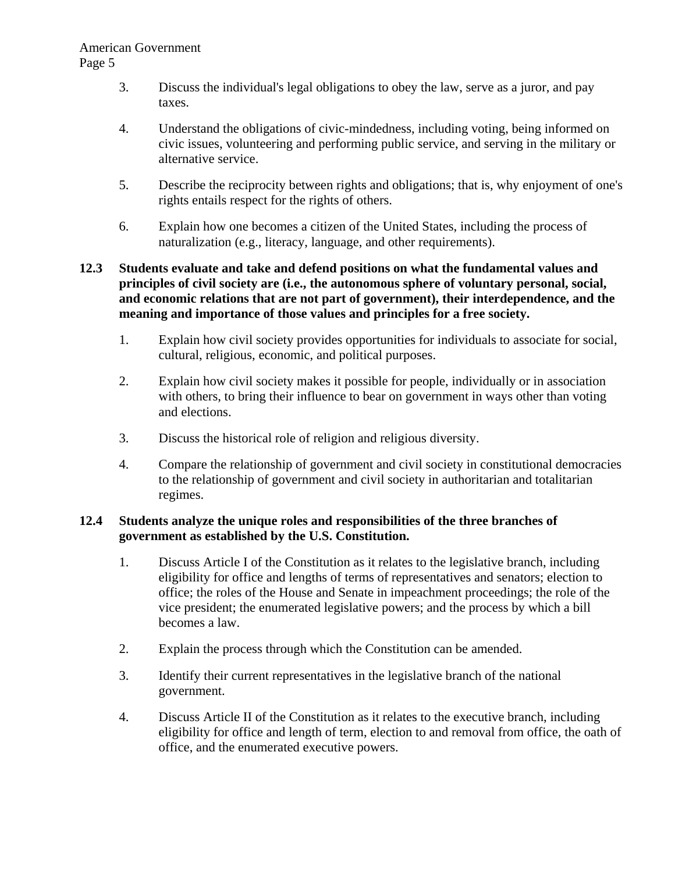- 3. Discuss the individual's legal obligations to obey the law, serve as a juror, and pay taxes.
- 4. Understand the obligations of civic-mindedness, including voting, being informed on civic issues, volunteering and performing public service, and serving in the military or alternative service.
- 5. Describe the reciprocity between rights and obligations; that is, why enjoyment of one's rights entails respect for the rights of others.
- 6. Explain how one becomes a citizen of the United States, including the process of naturalization (e.g., literacy, language, and other requirements).

# **12.3 Students evaluate and take and defend positions on what the fundamental values and principles of civil society are (i.e., the autonomous sphere of voluntary personal, social, and economic relations that are not part of government), their interdependence, and the meaning and importance of those values and principles for a free society.**

- 1. Explain how civil society provides opportunities for individuals to associate for social, cultural, religious, economic, and political purposes.
- 2. Explain how civil society makes it possible for people, individually or in association with others, to bring their influence to bear on government in ways other than voting and elections.
- 3. Discuss the historical role of religion and religious diversity.
- 4. Compare the relationship of government and civil society in constitutional democracies to the relationship of government and civil society in authoritarian and totalitarian regimes.

# **12.4 Students analyze the unique roles and responsibilities of the three branches of government as established by the U.S. Constitution.**

- 1. Discuss Article I of the Constitution as it relates to the legislative branch, including eligibility for office and lengths of terms of representatives and senators; election to office; the roles of the House and Senate in impeachment proceedings; the role of the vice president; the enumerated legislative powers; and the process by which a bill becomes a law.
- 2. Explain the process through which the Constitution can be amended.
- 3. Identify their current representatives in the legislative branch of the national government.
- 4. Discuss Article II of the Constitution as it relates to the executive branch, including eligibility for office and length of term, election to and removal from office, the oath of office, and the enumerated executive powers.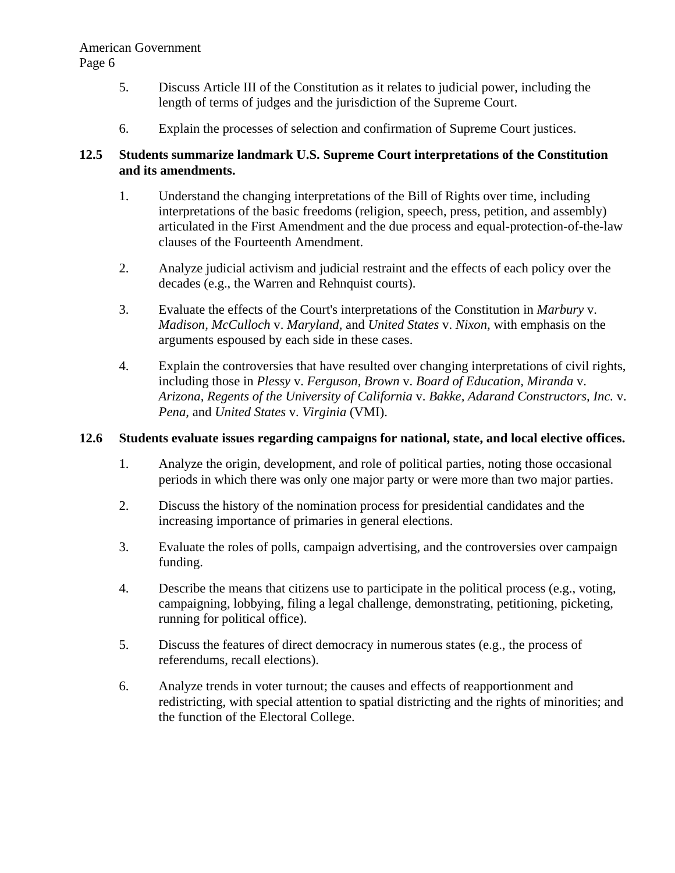- 5. Discuss Article III of the Constitution as it relates to judicial power, including the length of terms of judges and the jurisdiction of the Supreme Court.
- 6. Explain the processes of selection and confirmation of Supreme Court justices.

# **12.5 Students summarize landmark U.S. Supreme Court interpretations of the Constitution and its amendments.**

- 1. Understand the changing interpretations of the Bill of Rights over time, including interpretations of the basic freedoms (religion, speech, press, petition, and assembly) articulated in the First Amendment and the due process and equal-protection-of-the-law clauses of the Fourteenth Amendment.
- 2. Analyze judicial activism and judicial restraint and the effects of each policy over the decades (e.g., the Warren and Rehnquist courts).
- 3. Evaluate the effects of the Court's interpretations of the Constitution in *Marbury* v. *Madison, McCulloch* v. *Maryland,* and *United States* v. *Nixon,* with emphasis on the arguments espoused by each side in these cases.
- 4. Explain the controversies that have resulted over changing interpretations of civil rights, including those in *Plessy* v. *Ferguson, Brown* v. *Board of Education, Miranda* v. *Arizona, Regents of the University of California* v. *Bakke, Adarand Constructors, Inc.* v. *Pena,* and *United States* v. *Virginia* (VMI).

# **12.6 Students evaluate issues regarding campaigns for national, state, and local elective offices.**

- 1. Analyze the origin, development, and role of political parties, noting those occasional periods in which there was only one major party or were more than two major parties.
- 2. Discuss the history of the nomination process for presidential candidates and the increasing importance of primaries in general elections.
- 3. Evaluate the roles of polls, campaign advertising, and the controversies over campaign funding.
- 4. Describe the means that citizens use to participate in the political process (e.g., voting, campaigning, lobbying, filing a legal challenge, demonstrating, petitioning, picketing, running for political office).
- 5. Discuss the features of direct democracy in numerous states (e.g., the process of referendums, recall elections).
- 6. Analyze trends in voter turnout; the causes and effects of reapportionment and redistricting, with special attention to spatial districting and the rights of minorities; and the function of the Electoral College.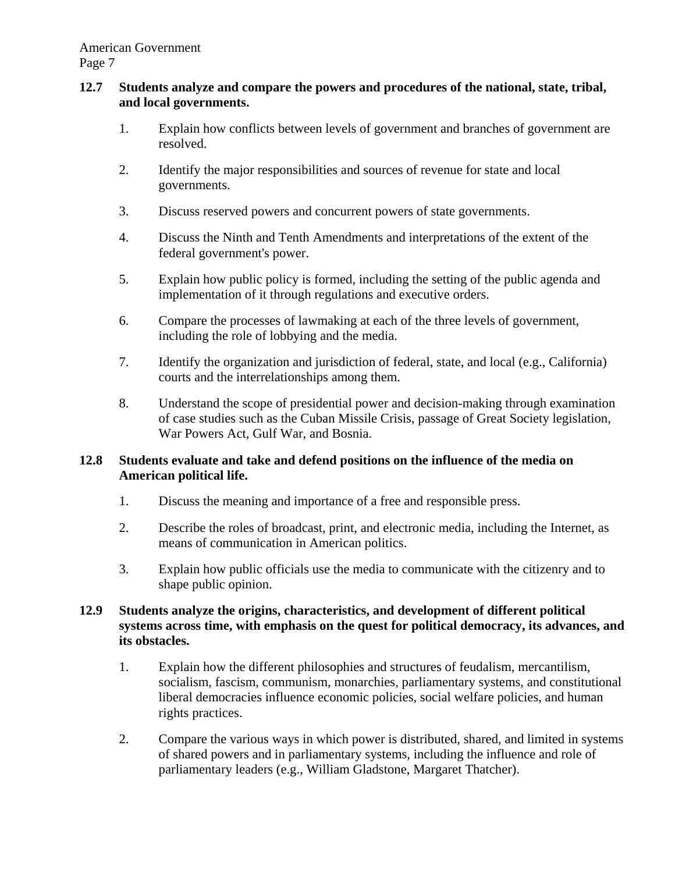#### **12.7 Students analyze and compare the powers and procedures of the national, state, tribal, and local governments.**

- 1. Explain how conflicts between levels of government and branches of government are resolved.
- 2. Identify the major responsibilities and sources of revenue for state and local governments.
- 3. Discuss reserved powers and concurrent powers of state governments.
- 4. Discuss the Ninth and Tenth Amendments and interpretations of the extent of the federal government's power.
- 5. Explain how public policy is formed, including the setting of the public agenda and implementation of it through regulations and executive orders.
- 6. Compare the processes of lawmaking at each of the three levels of government, including the role of lobbying and the media.
- 7. Identify the organization and jurisdiction of federal, state, and local (e.g., California) courts and the interrelationships among them.
- 8. Understand the scope of presidential power and decision-making through examination of case studies such as the Cuban Missile Crisis, passage of Great Society legislation, War Powers Act, Gulf War, and Bosnia.

### **12.8 Students evaluate and take and defend positions on the influence of the media on American political life.**

- 1. Discuss the meaning and importance of a free and responsible press.
- 2. Describe the roles of broadcast, print, and electronic media, including the Internet, as means of communication in American politics.
- 3. Explain how public officials use the media to communicate with the citizenry and to shape public opinion.

# **12.9 Students analyze the origins, characteristics, and development of different political systems across time, with emphasis on the quest for political democracy, its advances, and its obstacles.**

- 1. Explain how the different philosophies and structures of feudalism, mercantilism, socialism, fascism, communism, monarchies, parliamentary systems, and constitutional liberal democracies influence economic policies, social welfare policies, and human rights practices.
- 2. Compare the various ways in which power is distributed, shared, and limited in systems of shared powers and in parliamentary systems, including the influence and role of parliamentary leaders (e.g., William Gladstone, Margaret Thatcher).